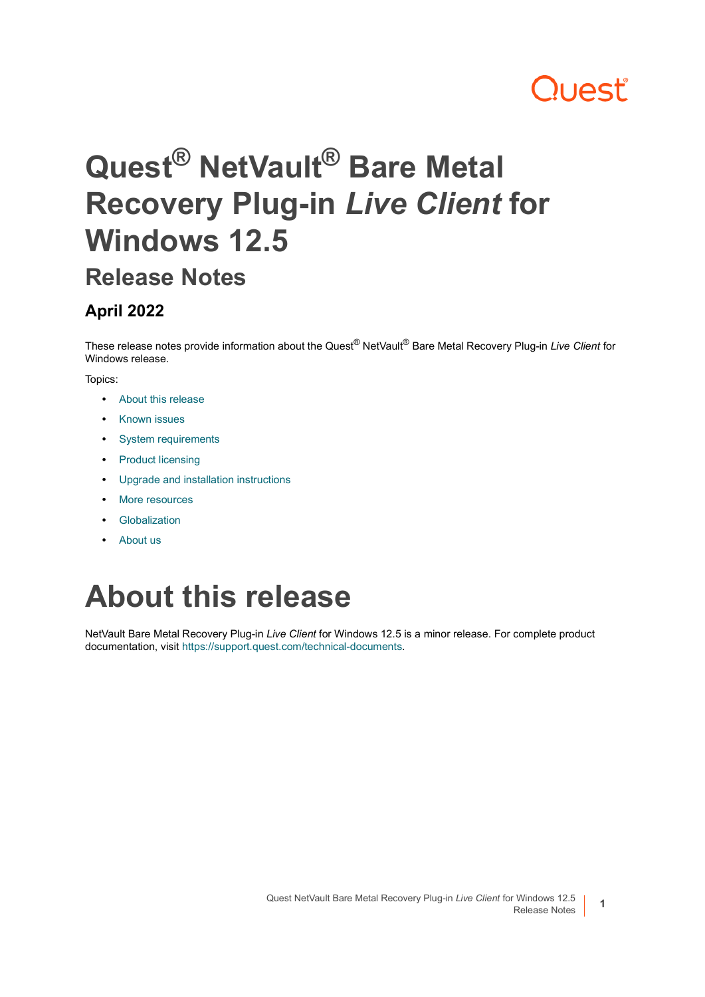# **Quest**

# **Quest® NetVault® Bare Metal Recovery Plug-in** *Live Client* **for Windows 12.5**

### **Release Notes**

#### **April 2022**

These release notes provide information about the Quest® NetVault® Bare Metal Recovery Plug-in *Live Client* for Windows release.

#### Topics:

- **•** [About this release](#page-0-0)
- **•** [Known issues](#page-1-0)
- **•** [System requirements](#page-1-1)
- **•** [Product licensing](#page-1-2)
- **•** [Upgrade and installation instructions](#page-2-0)
- **•** [More resources](#page-3-0)
- **•** [Globalization](#page-3-1)
- **•** [About us](#page-3-2)

# <span id="page-0-0"></span>**About this release**

NetVault Bare Metal Recovery Plug-in *Live Client* for Windows 12.5 is a minor release. For complete product documentation, visit [https://support.quest.com/technical-documents.](https://support.quest.com/technical-documents)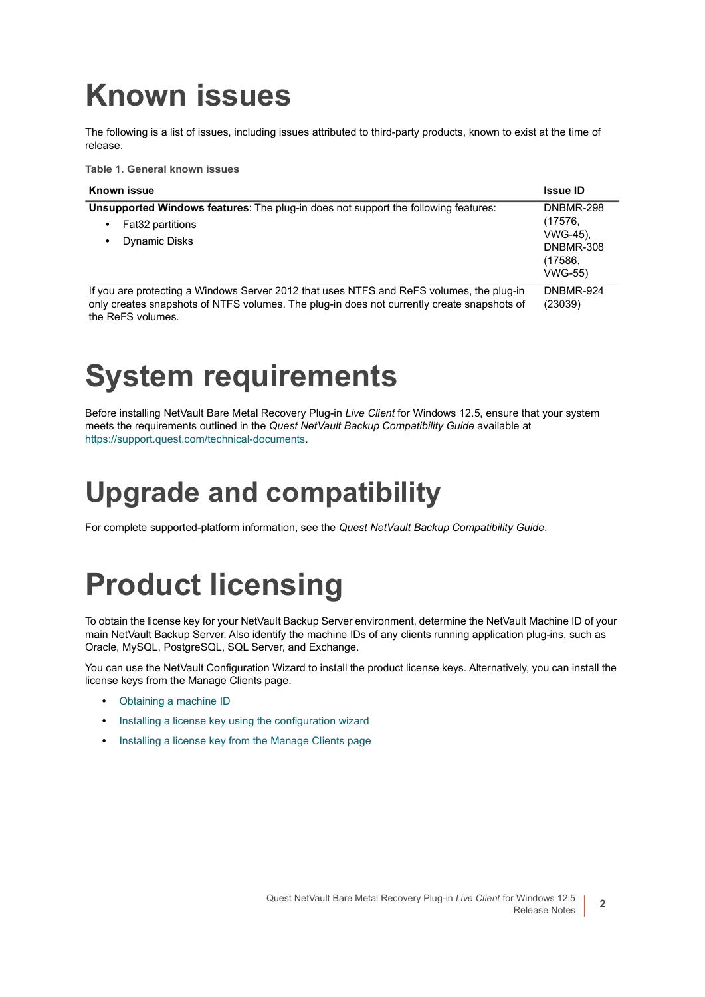## <span id="page-1-0"></span>**Known issues**

The following is a list of issues, including issues attributed to third-party products, known to exist at the time of release.

**Table 1. General known issues**

| Known issue                                                                                                                                                                                                 | <b>Issue ID</b>                                                                          |
|-------------------------------------------------------------------------------------------------------------------------------------------------------------------------------------------------------------|------------------------------------------------------------------------------------------|
| <b>Unsupported Windows features:</b> The plug-in does not support the following features:<br>Fat32 partitions<br>٠<br><b>Dynamic Disks</b><br>٠                                                             | <b>DNBMR-298</b><br>(17576,<br>VWG-45).<br><b>DNBMR-308</b><br>(17586,<br><b>VWG-55)</b> |
| If you are protecting a Windows Server 2012 that uses NTFS and ReFS volumes, the plug-in<br>only creates snapshots of NTFS volumes. The plug-in does not currently create snapshots of<br>the ReFS volumes. | DNBMR-924<br>(23039)                                                                     |

# <span id="page-1-1"></span>**System requirements**

Before installing NetVault Bare Metal Recovery Plug-in *Live Client* for Windows 12.5, ensure that your system meets the requirements outlined in the *Quest NetVault Backup Compatibility Guide* available at [https://support.quest.com/technical-documents.](https://support.quest.com/technical-documents)

### **Upgrade and compatibility**

For complete supported-platform information, see the *Quest NetVault Backup Compatibility Guide*.

# <span id="page-1-2"></span>**Product licensing**

To obtain the license key for your NetVault Backup Server environment, determine the NetVault Machine ID of your main NetVault Backup Server. Also identify the machine IDs of any clients running application plug-ins, such as Oracle, MySQL, PostgreSQL, SQL Server, and Exchange.

You can use the NetVault Configuration Wizard to install the product license keys. Alternatively, you can install the license keys from the Manage Clients page.

- **•** [Obtaining a machine ID](#page-2-1)
- **•** [Installing a license key using the configuration wizard](#page-2-2)
- **•** [Installing a license key from the Manage Clients page](#page-2-3)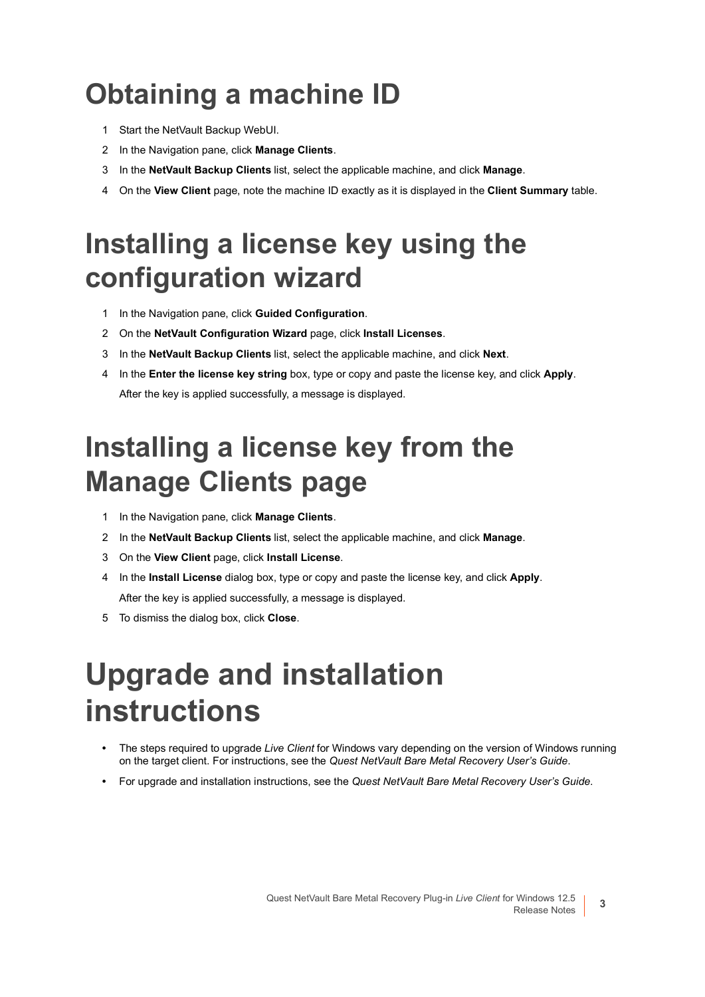## <span id="page-2-1"></span>**Obtaining a machine ID**

- 1 Start the NetVault Backup WebUI.
- 2 In the Navigation pane, click **Manage Clients**.
- 3 In the **NetVault Backup Clients** list, select the applicable machine, and click **Manage**.
- 4 On the **View Client** page, note the machine ID exactly as it is displayed in the **Client Summary** table.

### <span id="page-2-2"></span>**Installing a license key using the configuration wizard**

- 1 In the Navigation pane, click **Guided Configuration**.
- 2 On the **NetVault Configuration Wizard** page, click **Install Licenses**.
- 3 In the **NetVault Backup Clients** list, select the applicable machine, and click **Next**.
- 4 In the **Enter the license key string** box, type or copy and paste the license key, and click **Apply**. After the key is applied successfully, a message is displayed.

### <span id="page-2-3"></span>**Installing a license key from the Manage Clients page**

- 1 In the Navigation pane, click **Manage Clients**.
- 2 In the **NetVault Backup Clients** list, select the applicable machine, and click **Manage**.
- 3 On the **View Client** page, click **Install License**.
- 4 In the **Install License** dialog box, type or copy and paste the license key, and click **Apply**. After the key is applied successfully, a message is displayed.
- 5 To dismiss the dialog box, click **Close**.

# <span id="page-2-0"></span>**Upgrade and installation instructions**

- **•** The steps required to upgrade *Live Client* for Windows vary depending on the version of Windows running on the target client. For instructions, see the *Quest NetVault Bare Metal Recovery User's Guide*.
- **•** For upgrade and installation instructions, see the *Quest NetVault Bare Metal Recovery User's Guide*.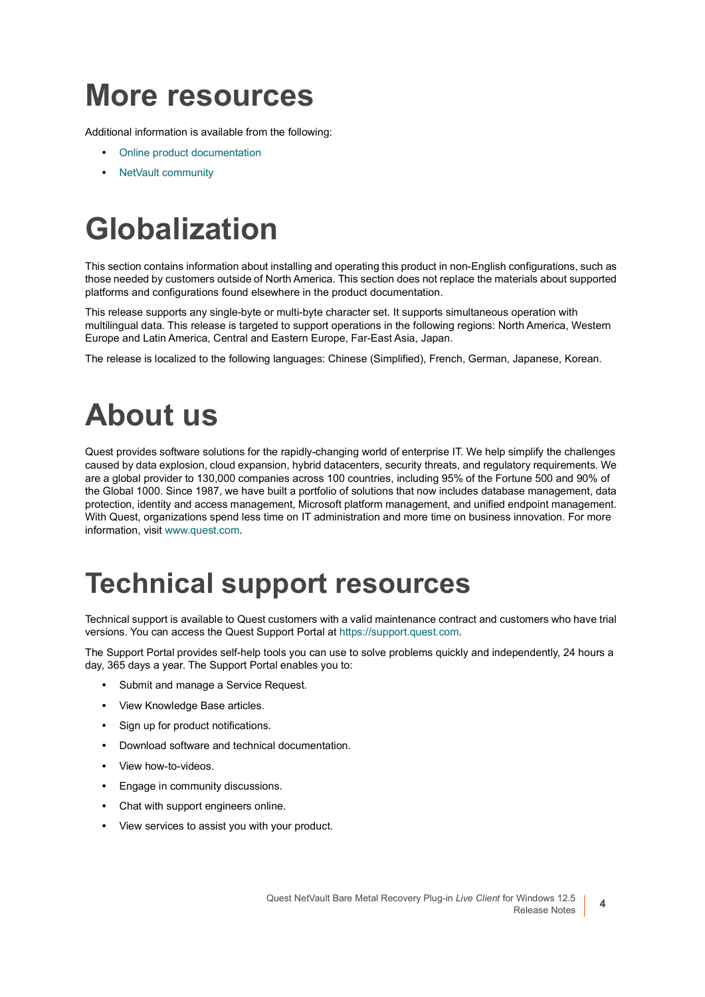### <span id="page-3-0"></span>**More resources**

Additional information is available from the following:

- **•** [Online product documentation](https://support.quest.com/technical-documents/)
- **•** [NetVault community](https://www.quest.com/community/products/netvault/)

# <span id="page-3-1"></span>**Globalization**

This section contains information about installing and operating this product in non-English configurations, such as those needed by customers outside of North America. This section does not replace the materials about supported platforms and configurations found elsewhere in the product documentation.

This release supports any single-byte or multi-byte character set. It supports simultaneous operation with multilingual data. This release is targeted to support operations in the following regions: North America, Western Europe and Latin America, Central and Eastern Europe, Far-East Asia, Japan.

The release is localized to the following languages: Chinese (Simplified), French, German, Japanese, Korean.

# <span id="page-3-2"></span>**About us**

Quest provides software solutions for the rapidly-changing world of enterprise IT. We help simplify the challenges caused by data explosion, cloud expansion, hybrid datacenters, security threats, and regulatory requirements. We are a global provider to 130,000 companies across 100 countries, including 95% of the Fortune 500 and 90% of the Global 1000. Since 1987, we have built a portfolio of solutions that now includes database management, data protection, identity and access management, Microsoft platform management, and unified endpoint management. With Quest, organizations spend less time on IT administration and more time on business innovation. For more information, visit [www.quest.com](https://www.quest.com/company/contact-us.aspx).

### **Technical support resources**

Technical support is available to Quest customers with a valid maintenance contract and customers who have trial versions. You can access the Quest Support Portal at [https://support.quest.com.](https://support.quest.com)

The Support Portal provides self-help tools you can use to solve problems quickly and independently, 24 hours a day, 365 days a year. The Support Portal enables you to:

- **•** Submit and manage a Service Request.
- **•** View Knowledge Base articles.
- **•** Sign up for product notifications.
- **•** Download software and technical documentation.
- **•** View how-to-videos.
- **•** Engage in community discussions.
- **•** Chat with support engineers online.
- **•** View services to assist you with your product.